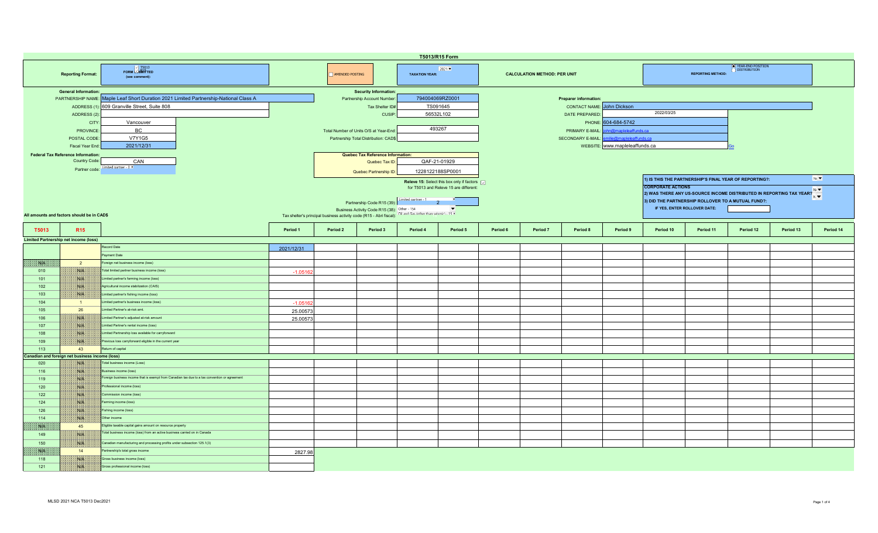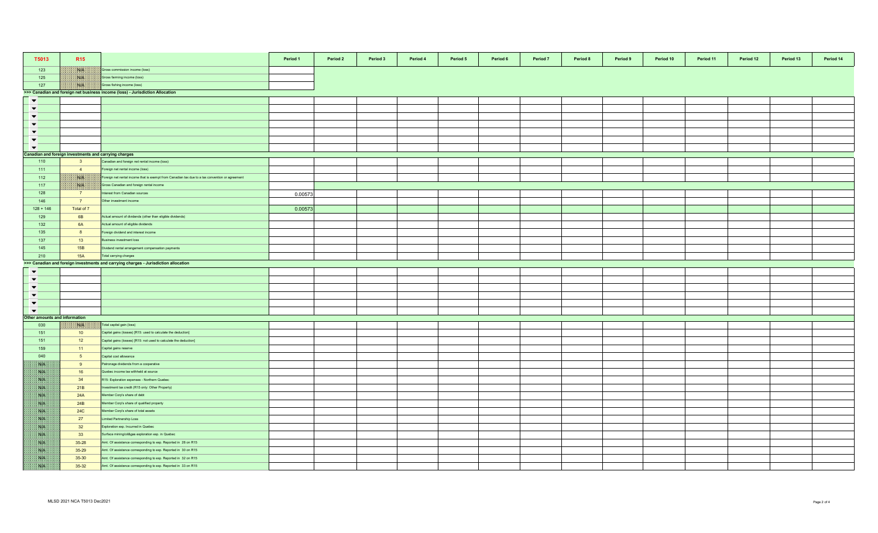| T5013                        | <b>R15</b>                                                                    |                                                                                                 | Period 1 | Period 2 | Period 3 | Period 4 | Period 5 | Period 6 | Period 7 | Period 8 | Period 9 | Period 10 | Period 11 | Period 12 | Period 13 | Period 14 |
|------------------------------|-------------------------------------------------------------------------------|-------------------------------------------------------------------------------------------------|----------|----------|----------|----------|----------|----------|----------|----------|----------|-----------|-----------|-----------|-----------|-----------|
| 123                          | <b>NGEN</b>                                                                   | Gross commission income (loss)                                                                  |          |          |          |          |          |          |          |          |          |           |           |           |           |           |
| 125                          | 1808.                                                                         | Gross farming income (loss)                                                                     |          |          |          |          |          |          |          |          |          |           |           |           |           |           |
| 127                          | NIA                                                                           | Gross fishing income (loss)                                                                     |          |          |          |          |          |          |          |          |          |           |           |           |           |           |
|                              | >>> Canadian and foreign net business income (loss) - Jurisdiction Allocation |                                                                                                 |          |          |          |          |          |          |          |          |          |           |           |           |           |           |
| $\blacktriangledown$         |                                                                               |                                                                                                 |          |          |          |          |          |          |          |          |          |           |           |           |           |           |
| $\blacktriangledown$         |                                                                               |                                                                                                 |          |          |          |          |          |          |          |          |          |           |           |           |           |           |
| $\blacktriangledown$         |                                                                               |                                                                                                 |          |          |          |          |          |          |          |          |          |           |           |           |           |           |
| $\blacktriangledown$         |                                                                               |                                                                                                 |          |          |          |          |          |          |          |          |          |           |           |           |           |           |
| $\blacktriangledown$         |                                                                               |                                                                                                 |          |          |          |          |          |          |          |          |          |           |           |           |           |           |
| $\blacktriangledown$         |                                                                               |                                                                                                 |          |          |          |          |          |          |          |          |          |           |           |           |           |           |
| $\blacktriangledown$         |                                                                               |                                                                                                 |          |          |          |          |          |          |          |          |          |           |           |           |           |           |
|                              | Canadian and foreign investments and carrying charges                         |                                                                                                 |          |          |          |          |          |          |          |          |          |           |           |           |           |           |
| 110                          | 3 <sup>2</sup>                                                                | Canadian and foreign net rental income (loss)                                                   |          |          |          |          |          |          |          |          |          |           |           |           |           |           |
| $-111$                       | $\overline{4}$                                                                | oreign net rental income (loss)                                                                 |          |          |          |          |          |          |          |          |          |           |           |           |           |           |
| 112                          | NB                                                                            | Foreign net rental income that is exempt from Canadian tax due to a tax convention or agreement |          |          |          |          |          |          |          |          |          |           |           |           |           |           |
| 117                          | ma.                                                                           | Gross Canadian and foreign rental income                                                        |          |          |          |          |          |          |          |          |          |           |           |           |           |           |
|                              |                                                                               |                                                                                                 |          |          |          |          |          |          |          |          |          |           |           |           |           |           |
| 128                          | 7                                                                             | nterest from Canadian sources                                                                   | 0.00573  |          |          |          |          |          |          |          |          |           |           |           |           |           |
| 146                          | $\overline{7}$                                                                | Other investment income                                                                         |          |          |          |          |          |          |          |          |          |           |           |           |           |           |
| $128 + 146$                  | Total of 7                                                                    |                                                                                                 | 0.00573  |          |          |          |          |          |          |          |          |           |           |           |           |           |
| 129                          | 6B                                                                            | Actual amount of dividends (other than eligible dividends)                                      |          |          |          |          |          |          |          |          |          |           |           |           |           |           |
| 132                          | 6A                                                                            | Actual amount of eligible dividends                                                             |          |          |          |          |          |          |          |          |          |           |           |           |           |           |
| 135                          | 8                                                                             | oreign dividend and interest income                                                             |          |          |          |          |          |          |          |          |          |           |           |           |           |           |
| 137                          | 13                                                                            | Business investment loss                                                                        |          |          |          |          |          |          |          |          |          |           |           |           |           |           |
| 145                          | 15B                                                                           | Dividend rental arrangement compensation payments                                               |          |          |          |          |          |          |          |          |          |           |           |           |           |           |
| 210                          | <b>15A</b>                                                                    | Total carrying charges                                                                          |          |          |          |          |          |          |          |          |          |           |           |           |           |           |
|                              |                                                                               | >>> Canadian and foreign investments and carrying charges - Jurisdiction allocation             |          |          |          |          |          |          |          |          |          |           |           |           |           |           |
| $\blacktriangledown$         |                                                                               |                                                                                                 |          |          |          |          |          |          |          |          |          |           |           |           |           |           |
| $\blacktriangledown$         |                                                                               |                                                                                                 |          |          |          |          |          |          |          |          |          |           |           |           |           |           |
| $\blacktriangledown$         |                                                                               |                                                                                                 |          |          |          |          |          |          |          |          |          |           |           |           |           |           |
| $\blacktriangledown$         |                                                                               |                                                                                                 |          |          |          |          |          |          |          |          |          |           |           |           |           |           |
| $\blacktriangledown$         |                                                                               |                                                                                                 |          |          |          |          |          |          |          |          |          |           |           |           |           |           |
| $\blacktriangledown$         |                                                                               |                                                                                                 |          |          |          |          |          |          |          |          |          |           |           |           |           |           |
| ther amounts and information |                                                                               |                                                                                                 |          |          |          |          |          |          |          |          |          |           |           |           |           |           |
| 030                          | XVIX.                                                                         | Total capital gain (loss)                                                                       |          |          |          |          |          |          |          |          |          |           |           |           |           |           |
| 151                          | 10                                                                            | Capital gains (losses) [R15: used to calculate the deduction]                                   |          |          |          |          |          |          |          |          |          |           |           |           |           |           |
| 151                          | 12                                                                            | Capital gains (losses) [R15: not used to calculate the deduction]                               |          |          |          |          |          |          |          |          |          |           |           |           |           |           |
| 159                          | 11                                                                            | Capital gains reserve                                                                           |          |          |          |          |          |          |          |          |          |           |           |           |           |           |
| 040                          | 5 <sub>5</sub>                                                                | Capital cost allowance                                                                          |          |          |          |          |          |          |          |          |          |           |           |           |           |           |
| SVN.                         | 9                                                                             | atronage dividends from a cooperative                                                           |          |          |          |          |          |          |          |          |          |           |           |           |           |           |
| SSB.                         | 16                                                                            | Quebec income tax withheld at source                                                            |          |          |          |          |          |          |          |          |          |           |           |           |           |           |
| ma                           | 34                                                                            | R15: Exploration expenses - Northern Quebec                                                     |          |          |          |          |          |          |          |          |          |           |           |           |           |           |
| 38.14                        | 21B                                                                           | nvestment tax credit (R15 only: Other Property)                                                 |          |          |          |          |          |          |          |          |          |           |           |           |           |           |
| <b>SAFE</b>                  | 24A                                                                           | Member Corp's share of debt                                                                     |          |          |          |          |          |          |          |          |          |           |           |           |           |           |
| S.B                          | 24B                                                                           | Member Corp's share of qualified property                                                       |          |          |          |          |          |          |          |          |          |           |           |           |           |           |
| <b>SALE</b>                  | <b>24C</b>                                                                    |                                                                                                 |          |          |          |          |          |          |          |          |          |           |           |           |           |           |
|                              |                                                                               | Member Corp's share of total assets                                                             |          |          |          |          |          |          |          |          |          |           |           |           |           |           |
| <b>Site</b>                  | 27                                                                            | imited Partnership Loss                                                                         |          |          |          |          |          |          |          |          |          |           |           |           |           |           |
| SVN.                         | 32                                                                            | Exploration exp. Incurred in Quebec                                                             |          |          |          |          |          |          |          |          |          |           |           |           |           |           |
| NP.                          | 33                                                                            | Surface mining/oil&gas exploration exp. in Quebec                                               |          |          |          |          |          |          |          |          |          |           |           |           |           |           |
| NB.                          | $35 - 28$                                                                     | Amt. Of assistance corresponding to exp. Reported in 28 on R15                                  |          |          |          |          |          |          |          |          |          |           |           |           |           |           |
| Nik                          | 35-29                                                                         | Amt. Of assistance corresponding to exp. Reported in 30 on R15                                  |          |          |          |          |          |          |          |          |          |           |           |           |           |           |
| ma                           | 35-30                                                                         | Amt. Of assistance corresponding to exp. Reported in 32 on R15                                  |          |          |          |          |          |          |          |          |          |           |           |           |           |           |
| SS                           | 35-32                                                                         | Amt. Of assistance corresponding to exp. Reported in 33 on R15                                  |          |          |          |          |          |          |          |          |          |           |           |           |           |           |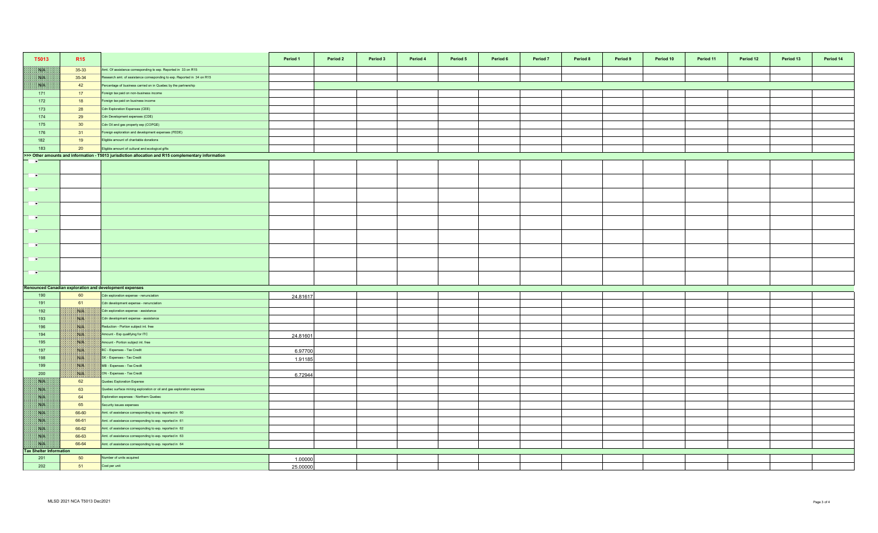| T5013                          | R <sub>15</sub>                                                                                                 |                                                                         | Period 1 | Period 2 | Period 3 | Period 4 | Period 5 | Period 6 | Period 7 | Period 8 | Period 9 | Period 10 | Period 11 | Period 12 | Period 13 | Period 14 |
|--------------------------------|-----------------------------------------------------------------------------------------------------------------|-------------------------------------------------------------------------|----------|----------|----------|----------|----------|----------|----------|----------|----------|-----------|-----------|-----------|-----------|-----------|
| NK                             | 35-33                                                                                                           | Amt. Of assistance corresponding to exp. Reported in 33 on R15          |          |          |          |          |          |          |          |          |          |           |           |           |           |           |
| W                              | 35-34                                                                                                           | Research amt. of assistance corresponding to exp. Reported in 34 on R15 |          |          |          |          |          |          |          |          |          |           |           |           |           |           |
| NB                             | 42                                                                                                              | Percentage of business carried on in Quebec by the partnership          |          |          |          |          |          |          |          |          |          |           |           |           |           |           |
| 171                            | 17                                                                                                              | Foreign tax paid on non-business income                                 |          |          |          |          |          |          |          |          |          |           |           |           |           |           |
| 172                            | 18                                                                                                              | Foreign tax paid on business income                                     |          |          |          |          |          |          |          |          |          |           |           |           |           |           |
| 173                            | 28                                                                                                              | Cdn Exploration Expenses (CEE)                                          |          |          |          |          |          |          |          |          |          |           |           |           |           |           |
| 174                            | 29                                                                                                              | Cdn Development expenses (CDE)                                          |          |          |          |          |          |          |          |          |          |           |           |           |           |           |
| 175                            | 30 <sup>°</sup>                                                                                                 | Cdn Oil and gas property exp (COPGE)                                    |          |          |          |          |          |          |          |          |          |           |           |           |           |           |
| 176                            | 31                                                                                                              | Foreign exploration and development expenses (FEDE)                     |          |          |          |          |          |          |          |          |          |           |           |           |           |           |
| 182                            | 19                                                                                                              | Eligible amount of charitable donations                                 |          |          |          |          |          |          |          |          |          |           |           |           |           |           |
| 183                            | 20                                                                                                              | Eligible amount of cultural and ecological gifts                        |          |          |          |          |          |          |          |          |          |           |           |           |           |           |
|                                | >>> Other amounts and information - T5013 jurisdiction allocation and R15 complementary information<br><b>F</b> |                                                                         |          |          |          |          |          |          |          |          |          |           |           |           |           |           |
|                                |                                                                                                                 |                                                                         |          |          |          |          |          |          |          |          |          |           |           |           |           |           |
| <b>TIME</b>                    |                                                                                                                 |                                                                         |          |          |          |          |          |          |          |          |          |           |           |           |           |           |
| <b>PARTS</b>                   |                                                                                                                 |                                                                         |          |          |          |          |          |          |          |          |          |           |           |           |           |           |
| $\blacksquare$                 |                                                                                                                 |                                                                         |          |          |          |          |          |          |          |          |          |           |           |           |           |           |
| $\mathbf{r}$                   |                                                                                                                 |                                                                         |          |          |          |          |          |          |          |          |          |           |           |           |           |           |
| <b>P</b>                       |                                                                                                                 |                                                                         |          |          |          |          |          |          |          |          |          |           |           |           |           |           |
| $\rightarrow$                  |                                                                                                                 |                                                                         |          |          |          |          |          |          |          |          |          |           |           |           |           |           |
| $\sim$                         |                                                                                                                 |                                                                         |          |          |          |          |          |          |          |          |          |           |           |           |           |           |
| $\sim$                         |                                                                                                                 |                                                                         |          |          |          |          |          |          |          |          |          |           |           |           |           |           |
|                                |                                                                                                                 | <b>Renounced Canadian exploration and development expenses</b>          |          |          |          |          |          |          |          |          |          |           |           |           |           |           |
| 190                            | 60                                                                                                              | Cdn exploration expense - renunciation                                  | 24.81617 |          |          |          |          |          |          |          |          |           |           |           |           |           |
| 191                            | 61                                                                                                              | Cdn development expense - renunciation                                  |          |          |          |          |          |          |          |          |          |           |           |           |           |           |
| 192                            | BUS.                                                                                                            | Cdn exploration expense - assistance                                    |          |          |          |          |          |          |          |          |          |           |           |           |           |           |
| 193                            | NB                                                                                                              | Cdn development expense - assistance                                    |          |          |          |          |          |          |          |          |          |           |           |           |           |           |
| 196                            | <b>NIK</b>                                                                                                      | Reduction - Portion subject int. free                                   |          |          |          |          |          |          |          |          |          |           |           |           |           |           |
| 194                            | W                                                                                                               | Amount - Exp qualifying for ITC                                         | 24.81601 |          |          |          |          |          |          |          |          |           |           |           |           |           |
| 195                            | WIN                                                                                                             | Amount - Portion subject int. free                                      |          |          |          |          |          |          |          |          |          |           |           |           |           |           |
| 197                            | NIA                                                                                                             | BC - Expenses - Tax Credit                                              | 6.97700  |          |          |          |          |          |          |          |          |           |           |           |           |           |
| 198                            | NA                                                                                                              | SK - Expenses - Tax Credit                                              | 1.91185  |          |          |          |          |          |          |          |          |           |           |           |           |           |
| 199                            | <b>NOTE</b>                                                                                                     | MB - Expenses - Tax Credit                                              |          |          |          |          |          |          |          |          |          |           |           |           |           |           |
| 200                            | <b>ISLA</b>                                                                                                     | ON - Expenses - Tax Credit                                              | 6.72944  |          |          |          |          |          |          |          |          |           |           |           |           |           |
| NB                             | 62                                                                                                              | Quebec Exploration Expense                                              |          |          |          |          |          |          |          |          |          |           |           |           |           |           |
| NK                             | 63                                                                                                              | Quebec surface mining exploration or oil and gas exploration expenses   |          |          |          |          |          |          |          |          |          |           |           |           |           |           |
| <b>SATIS</b>                   | 64                                                                                                              | Exploration expenses - Northern Quebec                                  |          |          |          |          |          |          |          |          |          |           |           |           |           |           |
| NB                             | 65                                                                                                              | Security issues expenses                                                |          |          |          |          |          |          |          |          |          |           |           |           |           |           |
| NK                             | 66-60                                                                                                           | Amt. of assistance corresponding to exp. reported in 60                 |          |          |          |          |          |          |          |          |          |           |           |           |           |           |
| <b>SYLVEN</b>                  | 66-61                                                                                                           | Amt. of assistance corresponding to exp. reported in 61                 |          |          |          |          |          |          |          |          |          |           |           |           |           |           |
| NK                             | 66-62                                                                                                           | Amt. of assistance corresponding to exp. reported in 62                 |          |          |          |          |          |          |          |          |          |           |           |           |           |           |
| NB                             | 66-63                                                                                                           | Amt. of assistance corresponding to exp. reported in 63                 |          |          |          |          |          |          |          |          |          |           |           |           |           |           |
| WH                             | 66-64                                                                                                           | Amt. of assistance corresponding to exp. reported in 64                 |          |          |          |          |          |          |          |          |          |           |           |           |           |           |
| <b>Tax Shelter Information</b> |                                                                                                                 |                                                                         |          |          |          |          |          |          |          |          |          |           |           |           |           |           |
| 201                            | 50                                                                                                              | Number of units acquired                                                | 1.00000  |          |          |          |          |          |          |          |          |           |           |           |           |           |
| 202                            | 51                                                                                                              | Cost per unit                                                           | 25.00000 |          |          |          |          |          |          |          |          |           |           |           |           |           |